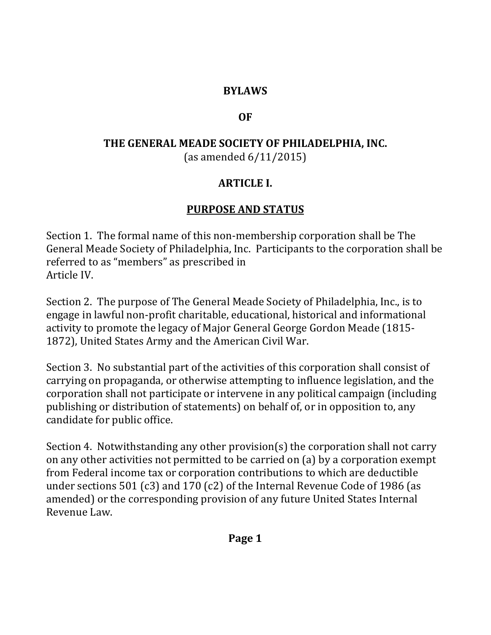### **BYLAWS**

#### **OF**

# **THE GENERAL MEADE SOCIETY OF PHILADELPHIA, INC.** (as amended 6/11/2015)

### **ARTICLE I.**

## **PURPOSE AND STATUS**

Section 1. The formal name of this non-membership corporation shall be The General Meade Society of Philadelphia, Inc. Participants to the corporation shall be referred to as "members" as prescribed in Article IV.

Section 2. The purpose of The General Meade Society of Philadelphia, Inc., is to engage in lawful non-profit charitable, educational, historical and informational activity to promote the legacy of Major General George Gordon Meade (1815- 1872), United States Army and the American Civil War.

Section 3. No substantial part of the activities of this corporation shall consist of carrying on propaganda, or otherwise attempting to influence legislation, and the corporation shall not participate or intervene in any political campaign (including publishing or distribution of statements) on behalf of, or in opposition to, any candidate for public office.

Section 4. Notwithstanding any other provision(s) the corporation shall not carry on any other activities not permitted to be carried on (a) by a corporation exempt from Federal income tax or corporation contributions to which are deductible under sections 501 (c3) and 170 (c2) of the Internal Revenue Code of 1986 (as amended) or the corresponding provision of any future United States Internal Revenue Law.

**Page 1**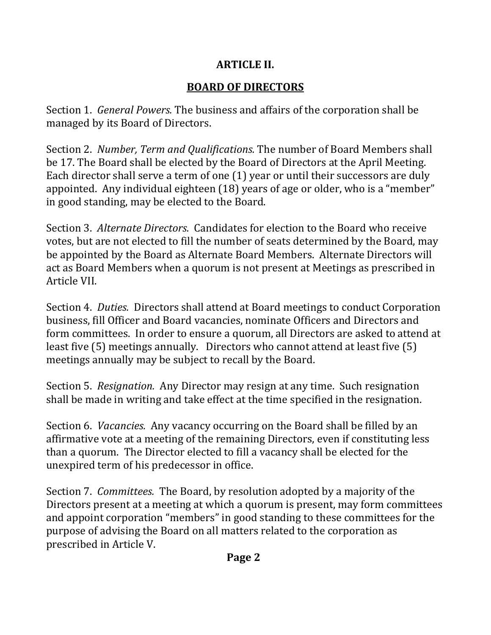# **ARTICLE II.**

# **BOARD OF DIRECTORS**

Section 1. *General Powers.* The business and affairs of the corporation shall be managed by its Board of Directors.

Section 2. *Number, Term and Qualifications.* The number of Board Members shall be 17. The Board shall be elected by the Board of Directors at the April Meeting. Each director shall serve a term of one (1) year or until their successors are duly appointed. Any individual eighteen (18) years of age or older, who is a "member" in good standing, may be elected to the Board.

Section 3. *Alternate Directors.* Candidates for election to the Board who receive votes, but are not elected to fill the number of seats determined by the Board, may be appointed by the Board as Alternate Board Members. Alternate Directors will act as Board Members when a quorum is not present at Meetings as prescribed in Article VII.

Section 4. *Duties.* Directors shall attend at Board meetings to conduct Corporation business, fill Officer and Board vacancies, nominate Officers and Directors and form committees. In order to ensure a quorum, all Directors are asked to attend at least five (5) meetings annually. Directors who cannot attend at least five (5) meetings annually may be subject to recall by the Board.

Section 5. *Resignation.* Any Director may resign at any time. Such resignation shall be made in writing and take effect at the time specified in the resignation.

Section 6. *Vacancies.* Any vacancy occurring on the Board shall be filled by an affirmative vote at a meeting of the remaining Directors, even if constituting less than a quorum. The Director elected to fill a vacancy shall be elected for the unexpired term of his predecessor in office.

Section 7. *Committees.* The Board, by resolution adopted by a majority of the Directors present at a meeting at which a quorum is present, may form committees and appoint corporation "members" in good standing to these committees for the purpose of advising the Board on all matters related to the corporation as prescribed in Article V.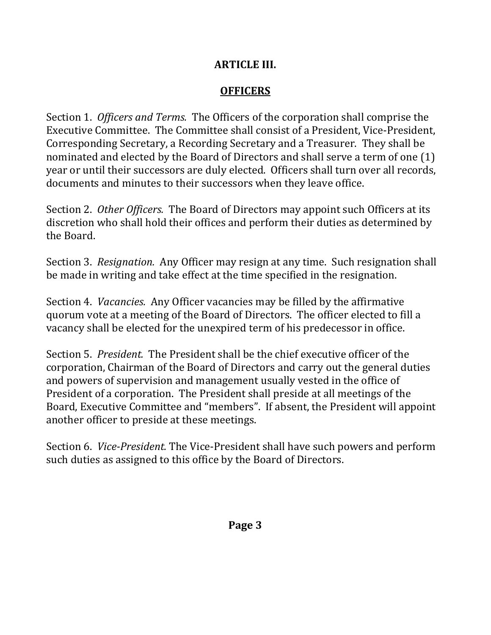### **ARTICLE III.**

## **OFFICERS**

Section 1. *Officers and Terms.* The Officers of the corporation shall comprise the Executive Committee. The Committee shall consist of a President, Vice-President, Corresponding Secretary, a Recording Secretary and a Treasurer. They shall be nominated and elected by the Board of Directors and shall serve a term of one (1) year or until their successors are duly elected. Officers shall turn over all records, documents and minutes to their successors when they leave office.

Section 2. *Other Officers.* The Board of Directors may appoint such Officers at its discretion who shall hold their offices and perform their duties as determined by the Board.

Section 3. *Resignation.* Any Officer may resign at any time. Such resignation shall be made in writing and take effect at the time specified in the resignation.

Section 4. *Vacancies.* Any Officer vacancies may be filled by the affirmative quorum vote at a meeting of the Board of Directors. The officer elected to fill a vacancy shall be elected for the unexpired term of his predecessor in office.

Section 5. *President.* The President shall be the chief executive officer of the corporation, Chairman of the Board of Directors and carry out the general duties and powers of supervision and management usually vested in the office of President of a corporation. The President shall preside at all meetings of the Board, Executive Committee and "members". If absent, the President will appoint another officer to preside at these meetings.

Section 6. *Vice-President.* The Vice-President shall have such powers and perform such duties as assigned to this office by the Board of Directors.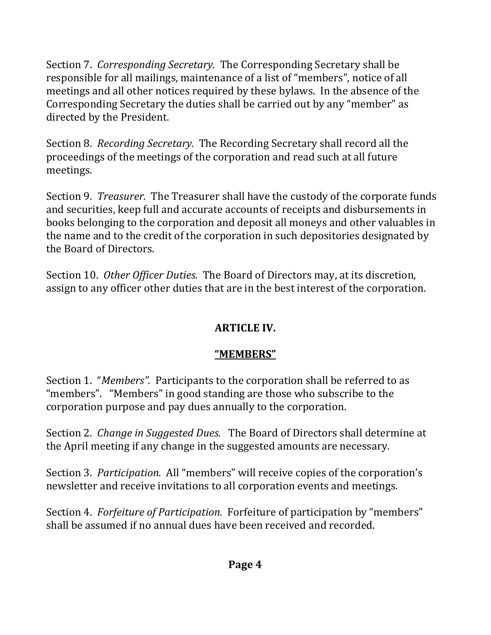Section 7. *Corresponding Secretary.* The Corresponding Secretary shall be responsible for all mailings, maintenance of a list of "members", notice of all meetings and all other notices required by these bylaws. In the absence of the Corresponding Secretary the duties shall be carried out by any "member" as directed by the President.

Section 8. *Recording Secretary.* The Recording Secretary shall record all the proceedings of the meetings of the corporation and read such at all future meetings.

Section 9. *Treasurer.* The Treasurer shall have the custody of the corporate funds and securities, keep full and accurate accounts of receipts and disbursements in books belonging to the corporation and deposit all moneys and other valuables in the name and to the credit of the corporation in such depositories designated by the Board of Directors.

Section 10. *Other Officer Duties.* The Board of Directors may, at its discretion, assign to any officer other duties that are in the best interest of the corporation.

# **ARTICLE IV.**

# **"MEMBERS"**

Section 1. "*Members".* Participants to the corporation shall be referred to as "members". "Members" in good standing are those who subscribe to the corporation purpose and pay dues annually to the corporation.

Section 2. *Change in Suggested Dues.* The Board of Directors shall determine at the April meeting if any change in the suggested amounts are necessary.

Section 3. *Participation.* All "members" will receive copies of the corporation's newsletter and receive invitations to all corporation events and meetings.

Section 4. *Forfeiture of Participation.* Forfeiture of participation by "members" shall be assumed if no annual dues have been received and recorded.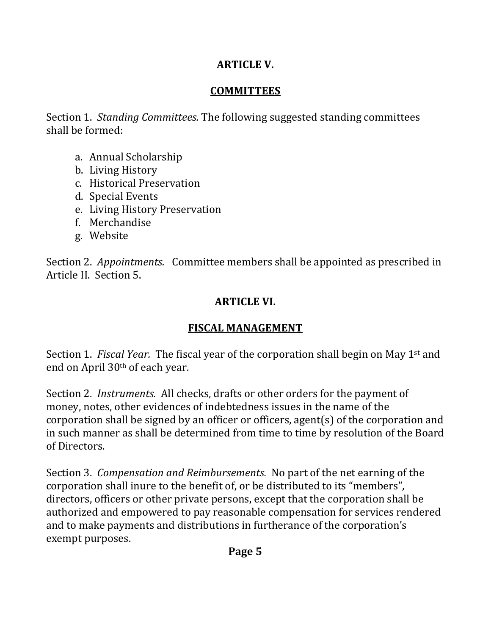## **ARTICLE V.**

#### **COMMITTEES**

Section 1. *Standing Committees.* The following suggested standing committees shall be formed:

- a. Annual Scholarship
- b. Living History
- c. Historical Preservation
- d. Special Events
- e. Living History Preservation
- f. Merchandise
- g. Website

Section 2. *Appointments.* Committee members shall be appointed as prescribed in Article II. Section 5.

### **ARTICLE VI.**

## **FISCAL MANAGEMENT**

Section 1. *Fiscal Year.* The fiscal year of the corporation shall begin on May 1st and end on April 30th of each year.

Section 2. *Instruments.* All checks, drafts or other orders for the payment of money, notes, other evidences of indebtedness issues in the name of the corporation shall be signed by an officer or officers, agent(s) of the corporation and in such manner as shall be determined from time to time by resolution of the Board of Directors.

Section 3. *Compensation and Reimbursements.* No part of the net earning of the corporation shall inure to the benefit of, or be distributed to its "members", directors, officers or other private persons, except that the corporation shall be authorized and empowered to pay reasonable compensation for services rendered and to make payments and distributions in furtherance of the corporation's exempt purposes.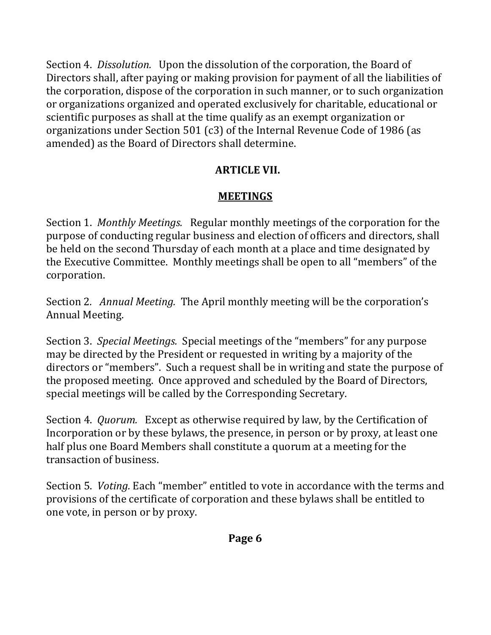Section 4. *Dissolution.* Upon the dissolution of the corporation, the Board of Directors shall, after paying or making provision for payment of all the liabilities of the corporation, dispose of the corporation in such manner, or to such organization or organizations organized and operated exclusively for charitable, educational or scientific purposes as shall at the time qualify as an exempt organization or organizations under Section 501 (c3) of the Internal Revenue Code of 1986 (as amended) as the Board of Directors shall determine.

# **ARTICLE VII.**

# **MEETINGS**

Section 1. *Monthly Meetings.* Regular monthly meetings of the corporation for the purpose of conducting regular business and election of officers and directors, shall be held on the second Thursday of each month at a place and time designated by the Executive Committee. Monthly meetings shall be open to all "members" of the corporation.

Section 2*. Annual Meeting.* The April monthly meeting will be the corporation's Annual Meeting.

Section 3. *Special Meetings.* Special meetings of the "members" for any purpose may be directed by the President or requested in writing by a majority of the directors or "members". Such a request shall be in writing and state the purpose of the proposed meeting. Once approved and scheduled by the Board of Directors, special meetings will be called by the Corresponding Secretary.

Section 4. *Quorum.* Except as otherwise required by law, by the Certification of Incorporation or by these bylaws, the presence, in person or by proxy, at least one half plus one Board Members shall constitute a quorum at a meeting for the transaction of business.

Section 5. *Voting.* Each "member" entitled to vote in accordance with the terms and provisions of the certificate of corporation and these bylaws shall be entitled to one vote, in person or by proxy.

**Page 6**